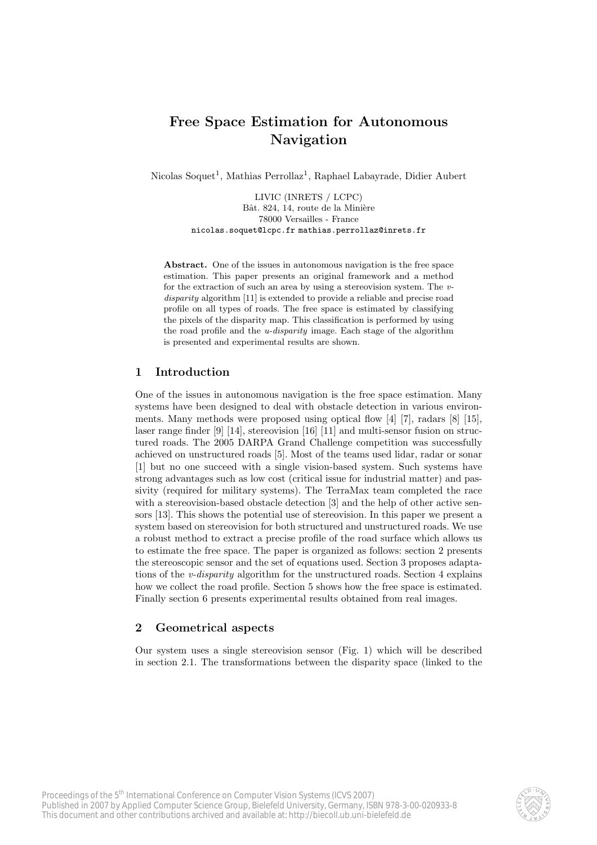# Free Space Estimation for Autonomous Navigation

Nicolas Soquet<sup>1</sup>, Mathias Perrollaz<sup>1</sup>, Raphael Labayrade, Didier Aubert

LIVIC (INRETS / LCPC) Bât. 824, 14, route de la Minière 78000 Versailles - France nicolas.soquet@lcpc.fr mathias.perrollaz@inrets.fr

Abstract. One of the issues in autonomous navigation is the free space estimation. This paper presents an original framework and a method for the extraction of such an area by using a stereovision system. The vdisparity algorithm [11] is extended to provide a reliable and precise road profile on all types of roads. The free space is estimated by classifying the pixels of the disparity map. This classification is performed by using the road profile and the u-disparity image. Each stage of the algorithm is presented and experimental results are shown.

# 1 Introduction

One of the issues in autonomous navigation is the free space estimation. Many systems have been designed to deal with obstacle detection in various environments. Many methods were proposed using optical flow [4] [7], radars [8] [15], laser range finder [9] [14], stereovision [16] [11] and multi-sensor fusion on structured roads. The 2005 DARPA Grand Challenge competition was successfully achieved on unstructured roads [5]. Most of the teams used lidar, radar or sonar [1] but no one succeed with a single vision-based system. Such systems have strong advantages such as low cost (critical issue for industrial matter) and passivity (required for military systems). The TerraMax team completed the race with a stereovision-based obstacle detection [3] and the help of other active sensors [13]. This shows the potential use of stereovision. In this paper we present a system based on stereovision for both structured and unstructured roads. We use a robust method to extract a precise profile of the road surface which allows us to estimate the free space. The paper is organized as follows: section 2 presents the stereoscopic sensor and the set of equations used. Section 3 proposes adaptations of the *v-disparity* algorithm for the unstructured roads. Section 4 explains how we collect the road profile. Section 5 shows how the free space is estimated. Finally section 6 presents experimental results obtained from real images.

### 2 Geometrical aspects

Our system uses a single stereovision sensor (Fig. 1) which will be described in section 2.1. The transformations between the disparity space (linked to the

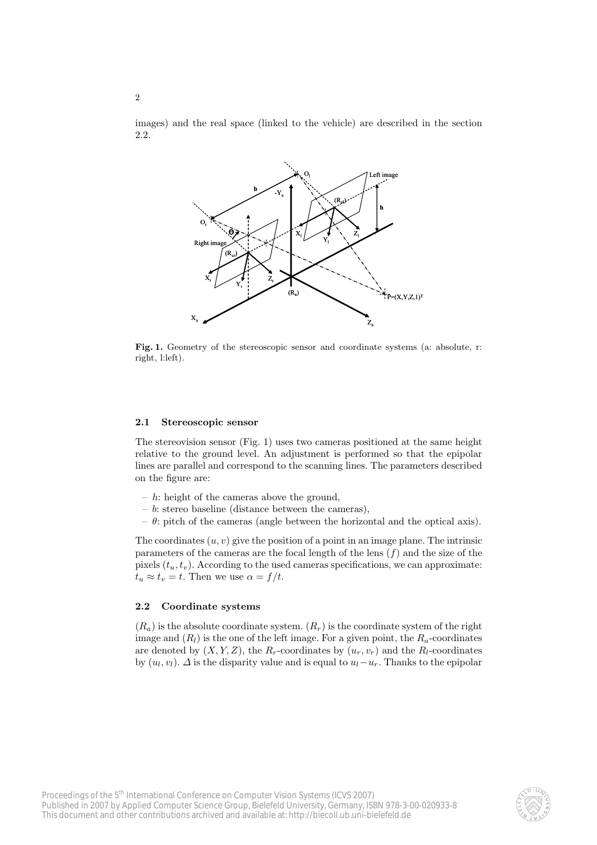images) and the real space (linked to the vehicle) are described in the section 2.2.



Fig. 1. Geometry of the stereoscopic sensor and coordinate systems (a: absolute, r: right, l:left).

#### 2.1 Stereoscopic sensor

The stereovision sensor (Fig. 1) uses two cameras positioned at the same height relative to the ground level. An adjustment is performed so that the epipolar lines are parallel and correspond to the scanning lines. The parameters described on the figure are:

- $h$ : height of the cameras above the ground,
- $b$ : stereo baseline (distance between the cameras),
- $\theta$ : pitch of the cameras (angle between the horizontal and the optical axis).

The coordinates  $(u, v)$  give the position of a point in an image plane. The intrinsic parameters of the cameras are the focal length of the lens  $(f)$  and the size of the pixels  $(t<sub>u</sub>, t<sub>v</sub>)$ . According to the used cameras specifications, we can approximate:  $t_u \approx t_v = t$ . Then we use  $\alpha = f/t$ .

#### 2.2 Coordinate systems

 $(R_a)$  is the absolute coordinate system.  $(R_r)$  is the coordinate system of the right image and  $(R_l)$  is the one of the left image. For a given point, the  $R_a$ -coordinates are denoted by  $(X, Y, Z)$ , the  $R_r$ -coordinates by  $(u_r, v_r)$  and the  $R_l$ -coordinates by  $(u_l, v_l)$ .  $\Delta$  is the disparity value and is equal to  $u_l - u_r$ . Thanks to the epipolar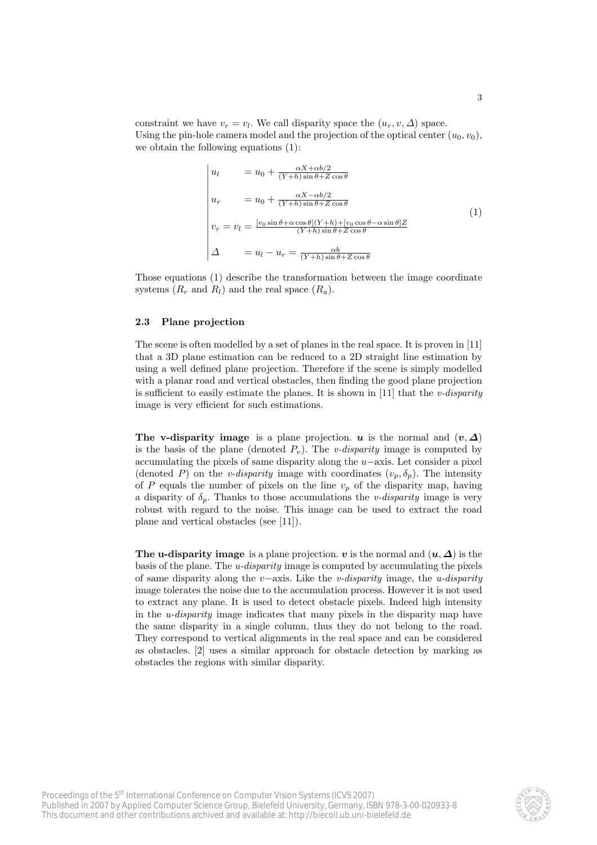constraint we have  $v_r = v_l$ . We call disparity space the  $(u_r, v, \Delta)$  space. Using the pin-hole camera model and the projection of the optical center  $(u_0, v_0)$ , we obtain the following equations (1):

$$
\begin{vmatrix}\nu_l & = u_0 + \frac{\alpha X + \alpha b/2}{(Y+h)\sin\theta + Z\cos\theta} \\
u_r & = u_0 + \frac{\alpha X - \alpha b/2}{(Y+h)\sin\theta + Z\cos\theta} \\
v_r = v_l = \frac{[v_0\sin\theta + \alpha\cos\theta](Y+h) + [v_0\cos\theta - \alpha\sin\theta]Z}{(Y+h)\sin\theta + Z\cos\theta} \\
\Delta & = u_l - u_r = \frac{\alpha b}{(Y+h)\sin\theta + Z\cos\theta}\n\end{vmatrix}
$$
\n(1)

Those equations (1) describe the transformation between the image coordinate systems  $(R_r \text{ and } R_l)$  and the real space  $(R_a)$ .

#### 2.3 Plane projection

The scene is often modelled by a set of planes in the real space. It is proven in [11] that a 3D plane estimation can be reduced to a 2D straight line estimation by using a well defined plane projection. Therefore if the scene is simply modelled with a planar road and vertical obstacles, then finding the good plane projection is sufficient to easily estimate the planes. It is shown in  $[11]$  that the *v*-disparity image is very efficient for such estimations.

The v-disparity image is a plane projection. u is the normal and  $(v, \Delta)$ is the basis of the plane (denoted  $P_v$ ). The *v*-disparity image is computed by accumulating the pixels of same disparity along the u−axis. Let consider a pixel (denoted P) on the v-disparity image with coordinates  $(v_p, \delta_p)$ . The intensity of P equals the number of pixels on the line  $v_p$  of the disparity map, having a disparity of  $\delta_p$ . Thanks to those accumulations the v-disparity image is very robust with regard to the noise. This image can be used to extract the road plane and vertical obstacles (see [11]).

The u-disparity image is a plane projection. v is the normal and  $(u, \Delta)$  is the basis of the plane. The u-disparity image is computed by accumulating the pixels of same disparity along the v−axis. Like the v-disparity image, the u-disparity image tolerates the noise due to the accumulation process. However it is not used to extract any plane. It is used to detect obstacle pixels. Indeed high intensity in the  $u$ -disparity image indicates that many pixels in the disparity map have the same disparity in a single column, thus they do not belong to the road. They correspond to vertical alignments in the real space and can be considered as obstacles. [2] uses a similar approach for obstacle detection by marking as obstacles the regions with similar disparity.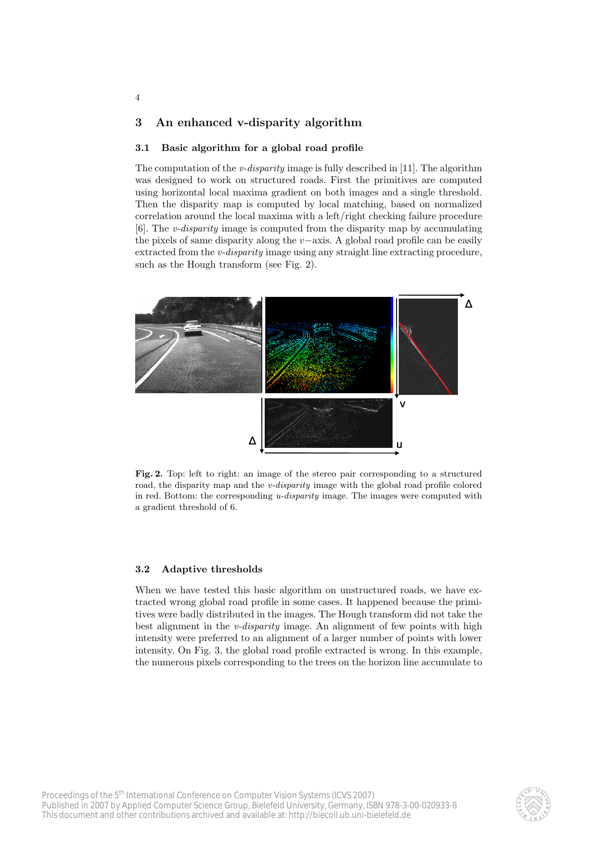# 3 An enhanced v-disparity algorithm

4

#### 3.1 Basic algorithm for a global road profile

The computation of the *v*-disparity image is fully described in [11]. The algorithm was designed to work on structured roads. First the primitives are computed using horizontal local maxima gradient on both images and a single threshold. Then the disparity map is computed by local matching, based on normalized correlation around the local maxima with a left/right checking failure procedure [6]. The v-disparity image is computed from the disparity map by accumulating the pixels of same disparity along the v−axis. A global road profile can be easily extracted from the *v-disparity* image using any straight line extracting procedure, such as the Hough transform (see Fig. 2).



Fig. 2. Top: left to right: an image of the stereo pair corresponding to a structured road, the disparity map and the v-disparity image with the global road profile colored in red. Bottom: the corresponding *u-disparity* image. The images were computed with a gradient threshold of 6.

#### 3.2 Adaptive thresholds

When we have tested this basic algorithm on unstructured roads, we have extracted wrong global road profile in some cases. It happened because the primitives were badly distributed in the images. The Hough transform did not take the best alignment in the *v-disparity* image. An alignment of few points with high intensity were preferred to an alignment of a larger number of points with lower intensity. On Fig. 3, the global road profile extracted is wrong. In this example, the numerous pixels corresponding to the trees on the horizon line accumulate to

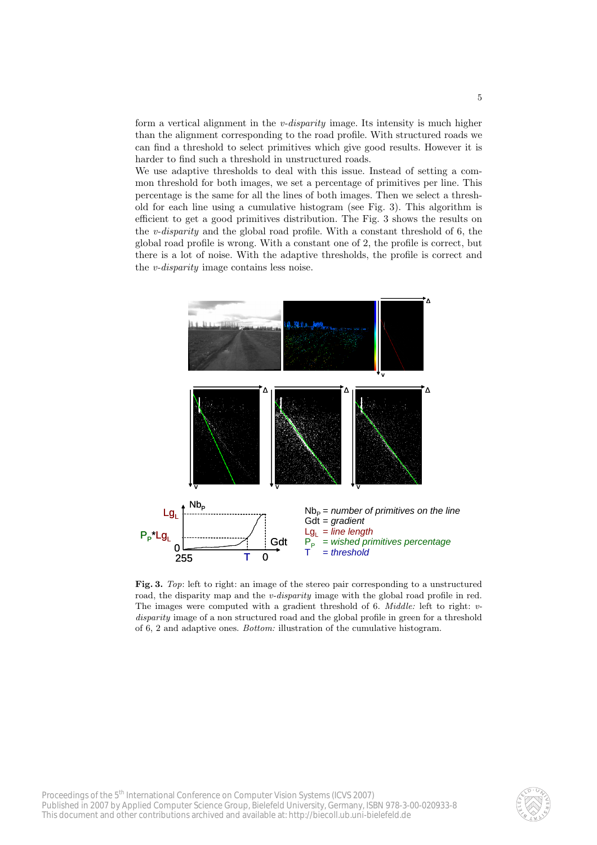form a vertical alignment in the v-disparity image. Its intensity is much higher than the alignment corresponding to the road profile. With structured roads we can find a threshold to select primitives which give good results. However it is harder to find such a threshold in unstructured roads.

We use adaptive thresholds to deal with this issue. Instead of setting a common threshold for both images, we set a percentage of primitives per line. This percentage is the same for all the lines of both images. Then we select a threshold for each line using a cumulative histogram (see Fig. 3). This algorithm is efficient to get a good primitives distribution. The Fig. 3 shows the results on the v-disparity and the global road profile. With a constant threshold of 6, the global road profile is wrong. With a constant one of 2, the profile is correct, but there is a lot of noise. With the adaptive thresholds, the profile is correct and the v-disparity image contains less noise.



Fig. 3. Top: left to right: an image of the stereo pair corresponding to a unstructured road, the disparity map and the *v-disparity* image with the global road profile in red. The images were computed with a gradient threshold of 6. *Middle:* left to right: vdisparity image of a non structured road and the global profile in green for a threshold of 6, 2 and adaptive ones. Bottom: illustration of the cumulative histogram.

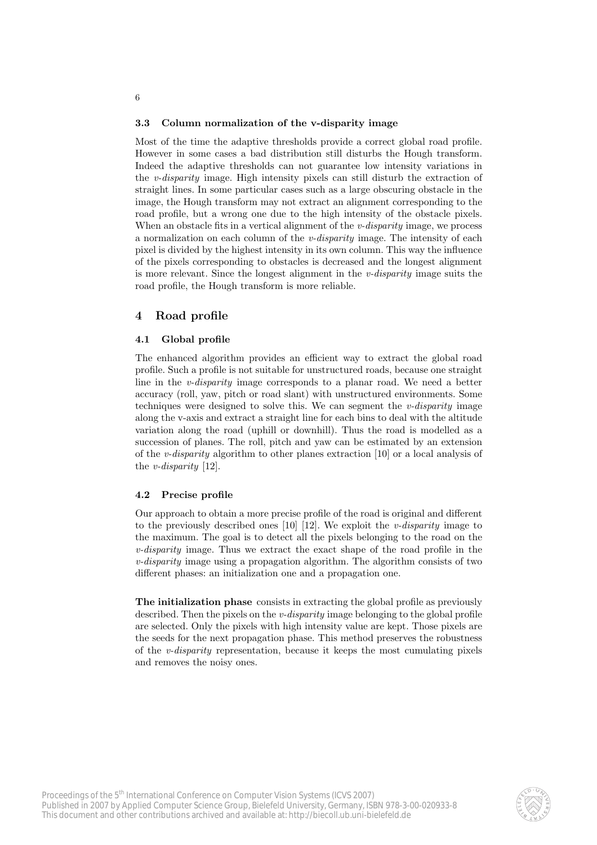#### 3.3 Column normalization of the v-disparity image

Most of the time the adaptive thresholds provide a correct global road profile. However in some cases a bad distribution still disturbs the Hough transform. Indeed the adaptive thresholds can not guarantee low intensity variations in the v-disparity image. High intensity pixels can still disturb the extraction of straight lines. In some particular cases such as a large obscuring obstacle in the image, the Hough transform may not extract an alignment corresponding to the road profile, but a wrong one due to the high intensity of the obstacle pixels. When an obstacle fits in a vertical alignment of the  $v$ -disparity image, we process a normalization on each column of the  $v\text{-}disparity$  image. The intensity of each pixel is divided by the highest intensity in its own column. This way the influence of the pixels corresponding to obstacles is decreased and the longest alignment is more relevant. Since the longest alignment in the v-disparity image suits the road profile, the Hough transform is more reliable.

# 4 Road profile

6

#### 4.1 Global profile

The enhanced algorithm provides an efficient way to extract the global road profile. Such a profile is not suitable for unstructured roads, because one straight line in the v-disparity image corresponds to a planar road. We need a better accuracy (roll, yaw, pitch or road slant) with unstructured environments. Some techniques were designed to solve this. We can segment the  $v$ -disparity image along the v-axis and extract a straight line for each bins to deal with the altitude variation along the road (uphill or downhill). Thus the road is modelled as a succession of planes. The roll, pitch and yaw can be estimated by an extension of the v-disparity algorithm to other planes extraction [10] or a local analysis of the v-disparity [12].

#### 4.2 Precise profile

Our approach to obtain a more precise profile of the road is original and different to the previously described ones [10] [12]. We exploit the *v*-disparity image to the maximum. The goal is to detect all the pixels belonging to the road on the v-disparity image. Thus we extract the exact shape of the road profile in the v-disparity image using a propagation algorithm. The algorithm consists of two different phases: an initialization one and a propagation one.

The initialization phase consists in extracting the global profile as previously described. Then the pixels on the  $v\text{-}disparity$  image belonging to the global profile are selected. Only the pixels with high intensity value are kept. Those pixels are the seeds for the next propagation phase. This method preserves the robustness of the *v-disparity* representation, because it keeps the most cumulating pixels and removes the noisy ones.

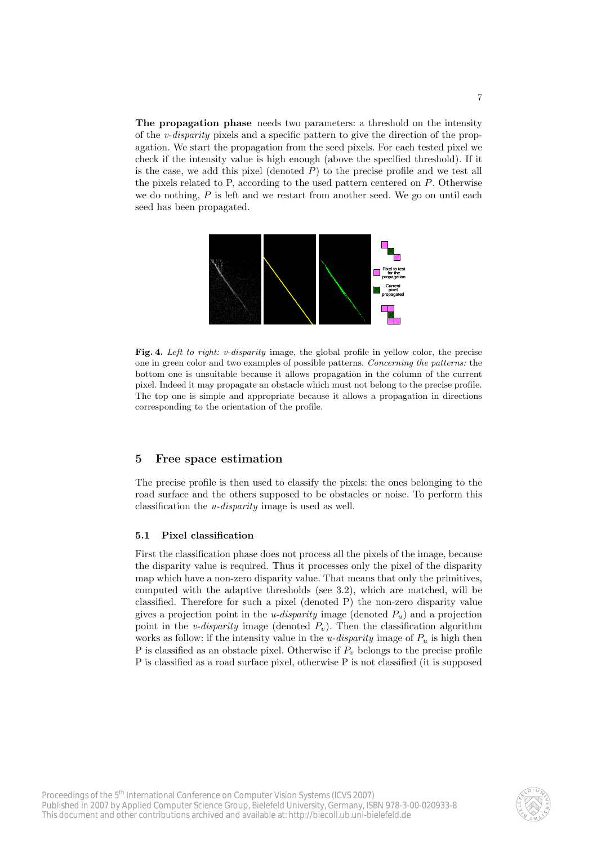The propagation phase needs two parameters: a threshold on the intensity of the v-disparity pixels and a specific pattern to give the direction of the propagation. We start the propagation from the seed pixels. For each tested pixel we check if the intensity value is high enough (above the specified threshold). If it is the case, we add this pixel (denoted  $P$ ) to the precise profile and we test all the pixels related to P, according to the used pattern centered on P. Otherwise we do nothing,  $P$  is left and we restart from another seed. We go on until each seed has been propagated.



Fig. 4. Left to right: v-disparity image, the global profile in yellow color, the precise one in green color and two examples of possible patterns. Concerning the patterns: the bottom one is unsuitable because it allows propagation in the column of the current pixel. Indeed it may propagate an obstacle which must not belong to the precise profile. The top one is simple and appropriate because it allows a propagation in directions corresponding to the orientation of the profile.

#### 5 Free space estimation

The precise profile is then used to classify the pixels: the ones belonging to the road surface and the others supposed to be obstacles or noise. To perform this classification the u-disparity image is used as well.

#### 5.1 Pixel classification

First the classification phase does not process all the pixels of the image, because the disparity value is required. Thus it processes only the pixel of the disparity map which have a non-zero disparity value. That means that only the primitives, computed with the adaptive thresholds (see 3.2), which are matched, will be classified. Therefore for such a pixel (denoted P) the non-zero disparity value gives a projection point in the *u-disparity* image (denoted  $P_u$ ) and a projection point in the *v*-disparity image (denoted  $P_v$ ). Then the classification algorithm works as follow: if the intensity value in the *u-disparity* image of  $P_u$  is high then P is classified as an obstacle pixel. Otherwise if  $P<sub>v</sub>$  belongs to the precise profile P is classified as a road surface pixel, otherwise P is not classified (it is supposed

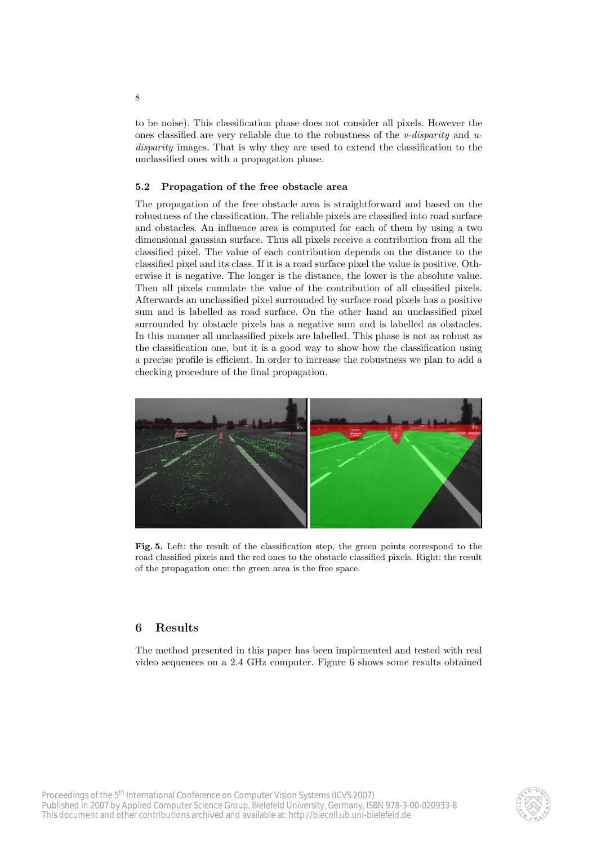to be noise). This classification phase does not consider all pixels. However the ones classified are very reliable due to the robustness of the v-disparity and  $u$ disparity images. That is why they are used to extend the classification to the unclassified ones with a propagation phase.

#### 5.2 Propagation of the free obstacle area

The propagation of the free obstacle area is straightforward and based on the robustness of the classification. The reliable pixels are classified into road surface and obstacles. An influence area is computed for each of them by using a two dimensional gaussian surface. Thus all pixels receive a contribution from all the classified pixel. The value of each contribution depends on the distance to the classified pixel and its class. If it is a road surface pixel the value is positive. Otherwise it is negative. The longer is the distance, the lower is the absolute value. Then all pixels cumulate the value of the contribution of all classified pixels. Afterwards an unclassified pixel surrounded by surface road pixels has a positive sum and is labelled as road surface. On the other hand an unclassified pixel surrounded by obstacle pixels has a negative sum and is labelled as obstacles. In this manner all unclassified pixels are labelled. This phase is not as robust as the classification one, but it is a good way to show how the classification using a precise profile is efficient. In order to increase the robustness we plan to add a checking procedure of the final propagation.



Fig. 5. Left: the result of the classification step, the green points correspond to the road classified pixels and the red ones to the obstacle classified pixels. Right: the result of the propagation one: the green area is the free space.

#### 6 Results

The method presented in this paper has been implemented and tested with real video sequences on a 2.4 GHz computer. Figure 6 shows some results obtained

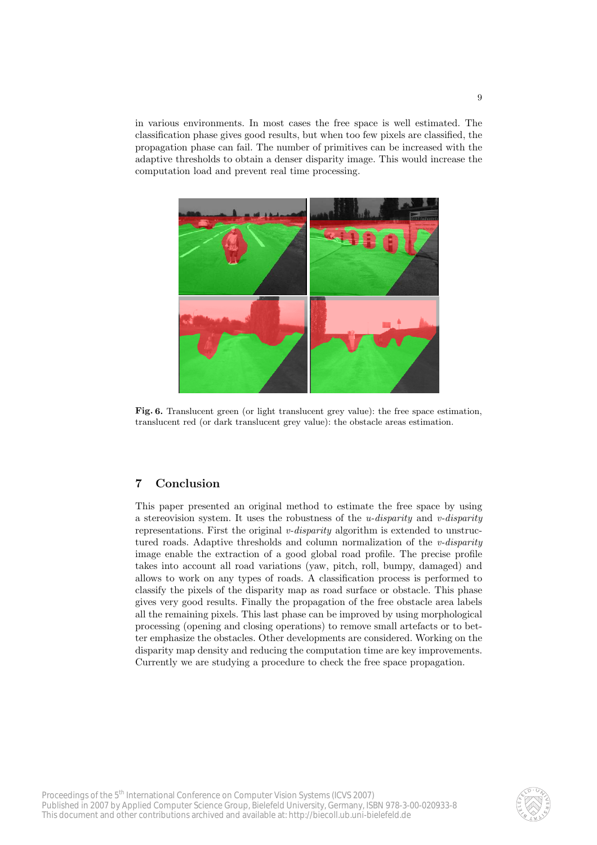in various environments. In most cases the free space is well estimated. The classification phase gives good results, but when too few pixels are classified, the propagation phase can fail. The number of primitives can be increased with the adaptive thresholds to obtain a denser disparity image. This would increase the computation load and prevent real time processing.



Fig. 6. Translucent green (or light translucent grey value): the free space estimation, translucent red (or dark translucent grey value): the obstacle areas estimation.

## 7 Conclusion

This paper presented an original method to estimate the free space by using a stereovision system. It uses the robustness of the *u-disparity* and *v-disparity* representations. First the original v-disparity algorithm is extended to unstructured roads. Adaptive thresholds and column normalization of the  $v$ -disparity image enable the extraction of a good global road profile. The precise profile takes into account all road variations (yaw, pitch, roll, bumpy, damaged) and allows to work on any types of roads. A classification process is performed to classify the pixels of the disparity map as road surface or obstacle. This phase gives very good results. Finally the propagation of the free obstacle area labels all the remaining pixels. This last phase can be improved by using morphological processing (opening and closing operations) to remove small artefacts or to better emphasize the obstacles. Other developments are considered. Working on the disparity map density and reducing the computation time are key improvements. Currently we are studying a procedure to check the free space propagation.